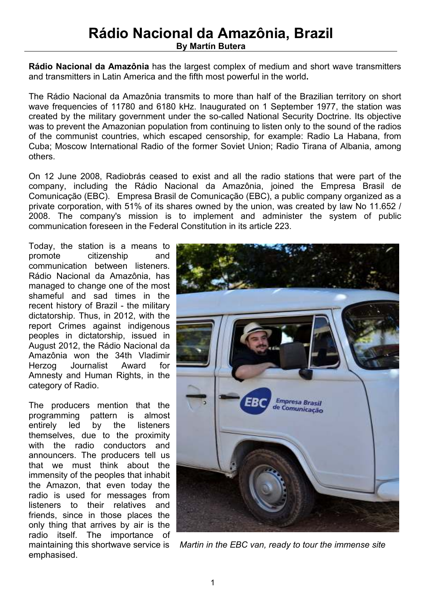# **Rádio Nacional da Amazônia, Brazil By Martín Butera**

**Rádio Nacional da Amazônia** has the largest complex of medium and short wave transmitters and transmitters in Latin America and the fifth most powerful in the world**.** 

The Rádio Nacional da Amazônia transmits to more than half of the Brazilian territory on short wave frequencies of 11780 and 6180 kHz. Inaugurated on 1 September 1977, the station was created by the military government under the so-called National Security Doctrine. Its objective was to prevent the Amazonian population from continuing to listen only to the sound of the radios of the communist countries, which escaped censorship, for example: Radio La Habana, from Cuba; Moscow International Radio of the former Soviet Union; Radio Tirana of Albania, among others.

On 12 June 2008, Radiobrás ceased to exist and all the radio stations that were part of the company, including the Rádio Nacional da Amazônia, joined the Empresa Brasil de Comunicação (EBC). Empresa Brasil de Comunicação (EBC), a public company organized as a private corporation, with 51% of its shares owned by the union, was created by law No 11.652 / 2008. The company's mission is to implement and administer the system of public communication foreseen in the Federal Constitution in its article 223.

Today, the station is a means to promote citizenship and communication between listeners. Rádio Nacional da Amazônia, has managed to change one of the most shameful and sad times in the recent history of Brazil - the military dictatorship. Thus, in 2012, with the report Crimes against indigenous peoples in dictatorship, issued in August 2012, the Rádio Nacional da Amazônia won the 34th Vladimir Herzog Journalist Award for Amnesty and Human Rights, in the category of Radio.

The producers mention that the programming pattern is almost entirely led by the listeners themselves, due to the proximity with the radio conductors and announcers. The producers tell us that we must think about the immensity of the peoples that inhabit the Amazon, that even today the radio is used for messages from listeners to their relatives and friends, since in those places the only thing that arrives by air is the radio itself. The importance of emphasised.



maintaining this shortwave service is *Martin in the EBC van, ready to tour the immense site*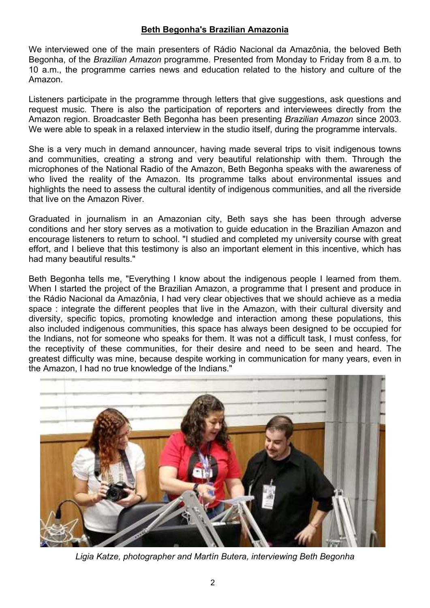#### **Beth Begonha's Brazilian Amazonia**

We interviewed one of the main presenters of Rádio Nacional da Amazônia, the beloved Beth Begonha, of the *Brazilian Amazon* programme. Presented from Monday to Friday from 8 a.m. to 10 a.m., the programme carries news and education related to the history and culture of the Amazon.

Listeners participate in the programme through letters that give suggestions, ask questions and request music. There is also the participation of reporters and interviewees directly from the Amazon region. Broadcaster Beth Begonha has been presenting *Brazilian Amazon* since 2003. We were able to speak in a relaxed interview in the studio itself, during the programme intervals.

She is a very much in demand announcer, having made several trips to visit indigenous towns and communities, creating a strong and very beautiful relationship with them. Through the microphones of the National Radio of the Amazon, Beth Begonha speaks with the awareness of who lived the reality of the Amazon. Its programme talks about environmental issues and highlights the need to assess the cultural identity of indigenous communities, and all the riverside that live on the Amazon River.

Graduated in journalism in an Amazonian city, Beth says she has been through adverse conditions and her story serves as a motivation to guide education in the Brazilian Amazon and encourage listeners to return to school. "I studied and completed my university course with great effort, and I believe that this testimony is also an important element in this incentive, which has had many beautiful results."

Beth Begonha tells me, "Everything I know about the indigenous people I learned from them. When I started the project of the Brazilian Amazon, a programme that I present and produce in the Rádio Nacional da Amazônia, I had very clear objectives that we should achieve as a media space : integrate the different peoples that live in the Amazon, with their cultural diversity and diversity, specific topics, promoting knowledge and interaction among these populations, this also included indigenous communities, this space has always been designed to be occupied for the Indians, not for someone who speaks for them. It was not a difficult task, I must confess, for the receptivity of these communities, for their desire and need to be seen and heard. The greatest difficulty was mine, because despite working in communication for many years, even in the Amazon, I had no true knowledge of the Indians."



*Ligia Katze, photographer and Martín Butera, interviewing Beth Begonha*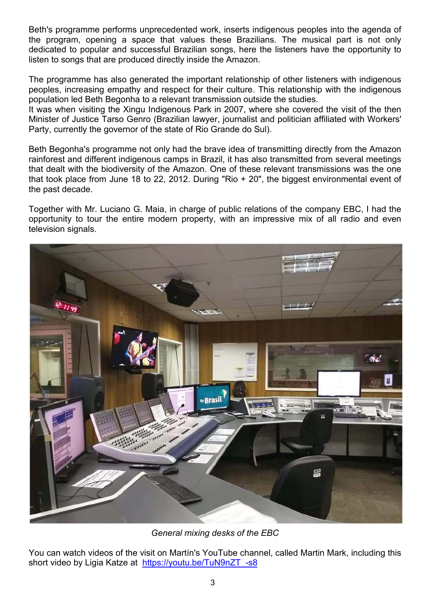Beth's programme performs unprecedented work, inserts indigenous peoples into the agenda of the program, opening a space that values these Brazilians. The musical part is not only dedicated to popular and successful Brazilian songs, here the listeners have the opportunity to listen to songs that are produced directly inside the Amazon.

The programme has also generated the important relationship of other listeners with indigenous peoples, increasing empathy and respect for their culture. This relationship with the indigenous population led Beth Begonha to a relevant transmission outside the studies.

It was when visiting the Xingu Indigenous Park in 2007, where she covered the visit of the then Minister of Justice Tarso Genro (Brazilian lawyer, journalist and politician affiliated with Workers' Party, currently the governor of the state of Rio Grande do Sul).

Beth Begonha's programme not only had the brave idea of transmitting directly from the Amazon rainforest and different indigenous camps in Brazil, it has also transmitted from several meetings that dealt with the biodiversity of the Amazon. One of these relevant transmissions was the one that took place from June 18 to 22, 2012. During "Rio + 20", the biggest environmental event of the past decade.

Together with Mr. Luciano G. Maia, in charge of public relations of the company EBC, I had the opportunity to tour the entire modern property, with an impressive mix of all radio and even television signals.



*General mixing desks of the EBC* 

You can watch videos of the visit on Martín's YouTube channel, called Martin Mark, including this short video by Ligia Katze at https://youtu.be/TuN9nZT -s8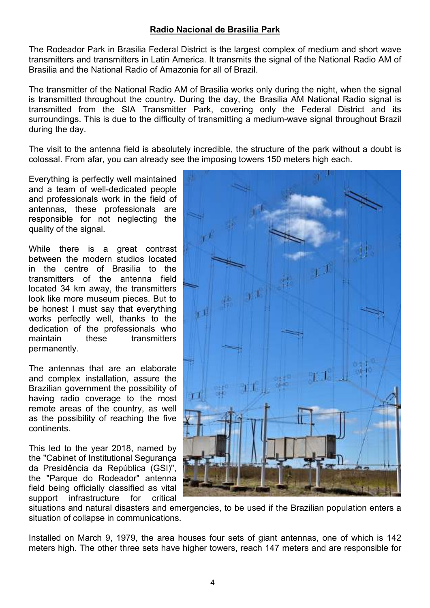## **Radio Nacional de Brasilia Park**

The Rodeador Park in Brasilia Federal District is the largest complex of medium and short wave transmitters and transmitters in Latin America. It transmits the signal of the National Radio AM of Brasilia and the National Radio of Amazonia for all of Brazil.

The transmitter of the National Radio AM of Brasilia works only during the night, when the signal is transmitted throughout the country. During the day, the Brasilia AM National Radio signal is transmitted from the SIA Transmitter Park, covering only the Federal District and its surroundings. This is due to the difficulty of transmitting a medium-wave signal throughout Brazil during the day.

The visit to the antenna field is absolutely incredible, the structure of the park without a doubt is colossal. From afar, you can already see the imposing towers 150 meters high each.

Everything is perfectly well maintained and a team of well-dedicated people and professionals work in the field of antennas, these professionals are responsible for not neglecting the quality of the signal.

While there is a great contrast between the modern studios located in the centre of Brasilia to the transmitters of the antenna field located 34 km away, the transmitters look like more museum pieces. But to be honest I must say that everything works perfectly well, thanks to the dedication of the professionals who maintain these transmitters permanently.

The antennas that are an elaborate and complex installation, assure the Brazilian government the possibility of having radio coverage to the most remote areas of the country, as well as the possibility of reaching the five continents.

This led to the year 2018, named by the "Cabinet of Institutional Segurança da Presidência da República (GSI)", the "Parque do Rodeador" antenna field being officially classified as vital support infrastructure for critical



situations and natural disasters and emergencies, to be used if the Brazilian population enters a situation of collapse in communications.

Installed on March 9, 1979, the area houses four sets of giant antennas, one of which is 142 meters high. The other three sets have higher towers, reach 147 meters and are responsible for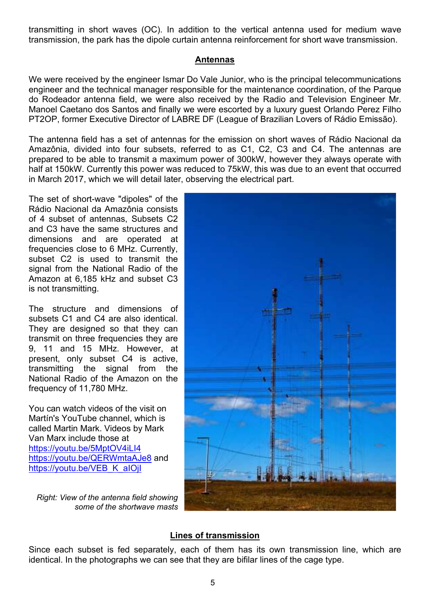transmitting in short waves (OC). In addition to the vertical antenna used for medium wave transmission, the park has the dipole curtain antenna reinforcement for short wave transmission.

#### **Antennas**

We were received by the engineer Ismar Do Vale Junior, who is the principal telecommunications engineer and the technical manager responsible for the maintenance coordination, of the Parque do Rodeador antenna field, we were also received by the Radio and Television Engineer Mr. Manoel Caetano dos Santos and finally we were escorted by a luxury guest Orlando Perez Filho PT2OP, former Executive Director of LABRE DF (League of Brazilian Lovers of Rádio Emissão).

The antenna field has a set of antennas for the emission on short waves of Rádio Nacional da Amazônia, divided into four subsets, referred to as C1, C2, C3 and C4. The antennas are prepared to be able to transmit a maximum power of 300kW, however they always operate with half at 150kW. Currently this power was reduced to 75kW, this was due to an event that occurred in March 2017, which we will detail later, observing the electrical part.

The set of short-wave "dipoles" of the Rádio Nacional da Amazônia consists of 4 subset of antennas, Subsets C<sub>2</sub> and C3 have the same structures and dimensions and are operated at frequencies close to 6 MHz. Currently, subset C2 is used to transmit the signal from the National Radio of the Amazon at 6,185 kHz and subset C3 is not transmitting.

The structure and dimensions of subsets C1 and C4 are also identical. They are designed so that they can transmit on three frequencies they are 9, 11 and 15 MHz. However, at present, only subset C4 is active, transmitting the signal from the National Radio of the Amazon on the frequency of 11,780 MHz.

You can watch videos of the visit on Martín's YouTube channel, which is called Martin Mark. Videos by Mark Van Marx include those at https://youtu.be/5MptOV4iLI4 https://youtu.be/QERWmtaAJe8 and https://youtu.be/VEB\_K\_aIOjI

*Right: View of the antenna field showing some of the shortwave masts* 



## **Lines of transmission**

Since each subset is fed separately, each of them has its own transmission line, which are identical. In the photographs we can see that they are bifilar lines of the cage type.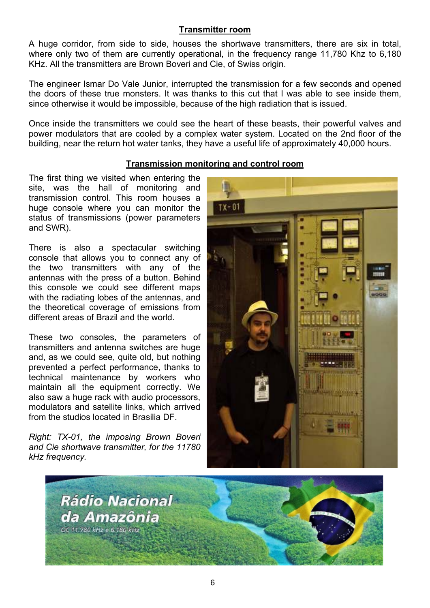## **Transmitter room**

A huge corridor, from side to side, houses the shortwave transmitters, there are six in total, where only two of them are currently operational, in the frequency range 11,780 Khz to 6,180 KHz. All the transmitters are Brown Boveri and Cie, of Swiss origin.

The engineer Ismar Do Vale Junior, interrupted the transmission for a few seconds and opened the doors of these true monsters. It was thanks to this cut that I was able to see inside them, since otherwise it would be impossible, because of the high radiation that is issued.

Once inside the transmitters we could see the heart of these beasts, their powerful valves and power modulators that are cooled by a complex water system. Located on the 2nd floor of the building, near the return hot water tanks, they have a useful life of approximately 40,000 hours.

## **Transmission monitoring and control room**

The first thing we visited when entering the site, was the hall of monitoring and transmission control. This room houses a huge console where you can monitor the status of transmissions (power parameters and SWR).

There is also a spectacular switching console that allows you to connect any of the two transmitters with any of the antennas with the press of a button. Behind this console we could see different maps with the radiating lobes of the antennas, and the theoretical coverage of emissions from different areas of Brazil and the world.

These two consoles, the parameters of transmitters and antenna switches are huge and, as we could see, quite old, but nothing prevented a perfect performance, thanks to technical maintenance by workers who maintain all the equipment correctly. We also saw a huge rack with audio processors, modulators and satellite links, which arrived from the studios located in Brasilia DF.

*Right: TX-01, the imposing Brown Boveri and Cie shortwave transmitter, for the 11780 kHz frequency.*



![](_page_5_Picture_10.jpeg)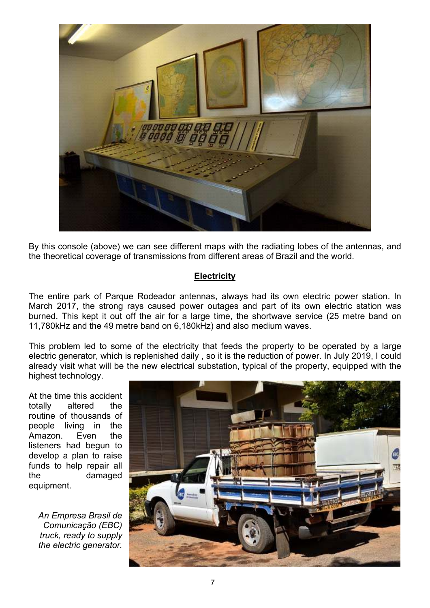![](_page_6_Picture_0.jpeg)

By this console (above) we can see different maps with the radiating lobes of the antennas, and the theoretical coverage of transmissions from different areas of Brazil and the world.

## **Electricity**

The entire park of Parque Rodeador antennas, always had its own electric power station. In March 2017, the strong rays caused power outages and part of its own electric station was burned. This kept it out off the air for a large time, the shortwave service (25 metre band on 11,780kHz and the 49 metre band on 6,180kHz) and also medium waves.

This problem led to some of the electricity that feeds the property to be operated by a large electric generator, which is replenished daily , so it is the reduction of power. In July 2019, I could already visit what will be the new electrical substation, typical of the property, equipped with the highest technology.

At the time this accident totally altered the routine of thousands of people living in the Amazon. Even the listeners had begun to develop a plan to raise funds to help repair all the damaged equipment.

*An Empresa Brasil de Comunicação (EBC) truck, ready to supply the electric generator.* 

![](_page_6_Picture_7.jpeg)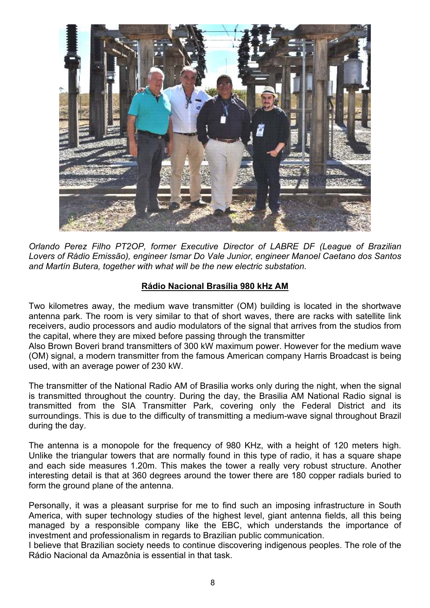![](_page_7_Picture_0.jpeg)

*Orlando Perez Filho PT2OP, former Executive Director of LABRE DF (League of Brazilian Lovers of Rádio Emissão), engineer Ismar Do Vale Junior, engineer Manoel Caetano dos Santos and Martín Butera, together with what will be the new electric substation.* 

## **Rádio Nacional Brasília 980 kHz AM**

Two kilometres away, the medium wave transmitter (OM) building is located in the shortwave antenna park. The room is very similar to that of short waves, there are racks with satellite link receivers, audio processors and audio modulators of the signal that arrives from the studios from the capital, where they are mixed before passing through the transmitter

Also Brown Boveri brand transmitters of 300 kW maximum power. However for the medium wave (OM) signal, a modern transmitter from the famous American company Harris Broadcast is being used, with an average power of 230 kW.

The transmitter of the National Radio AM of Brasilia works only during the night, when the signal is transmitted throughout the country. During the day, the Brasilia AM National Radio signal is transmitted from the SIA Transmitter Park, covering only the Federal District and its surroundings. This is due to the difficulty of transmitting a medium-wave signal throughout Brazil during the day.

The antenna is a monopole for the frequency of 980 KHz, with a height of 120 meters high. Unlike the triangular towers that are normally found in this type of radio, it has a square shape and each side measures 1.20m. This makes the tower a really very robust structure. Another interesting detail is that at 360 degrees around the tower there are 180 copper radials buried to form the ground plane of the antenna.

Personally, it was a pleasant surprise for me to find such an imposing infrastructure in South America, with super technology studies of the highest level, giant antenna fields, all this being managed by a responsible company like the EBC, which understands the importance of investment and professionalism in regards to Brazilian public communication.

I believe that Brazilian society needs to continue discovering indigenous peoples. The role of the Rádio Nacional da Amazônia is essential in that task.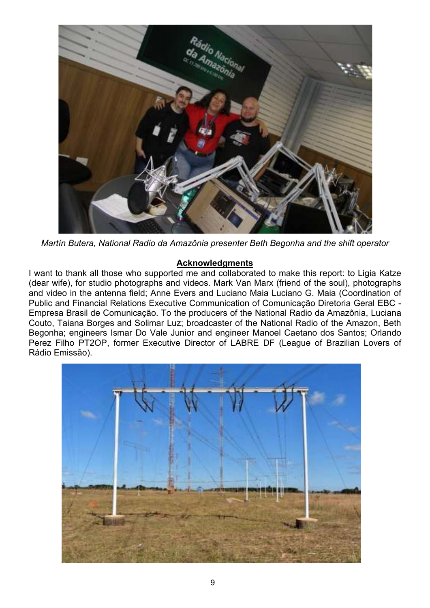![](_page_8_Picture_0.jpeg)

*Martín Butera, National Radio da Amazônia presenter Beth Begonha and the shift operator* 

#### **Acknowledgments**

I want to thank all those who supported me and collaborated to make this report: to Ligia Katze (dear wife), for studio photographs and videos. Mark Van Marx (friend of the soul), photographs and video in the antenna field; Anne Evers and Luciano Maia Luciano G. Maia (Coordination of Public and Financial Relations Executive Communication of Comunicação Diretoria Geral EBC - Empresa Brasil de Comunicação. To the producers of the National Radio da Amazônia, Luciana Couto, Taiana Borges and Solimar Luz; broadcaster of the National Radio of the Amazon, Beth Begonha; engineers Ismar Do Vale Junior and engineer Manoel Caetano dos Santos; Orlando Perez Filho PT2OP, former Executive Director of LABRE DF (League of Brazilian Lovers of Rádio Emissão).

![](_page_8_Picture_4.jpeg)